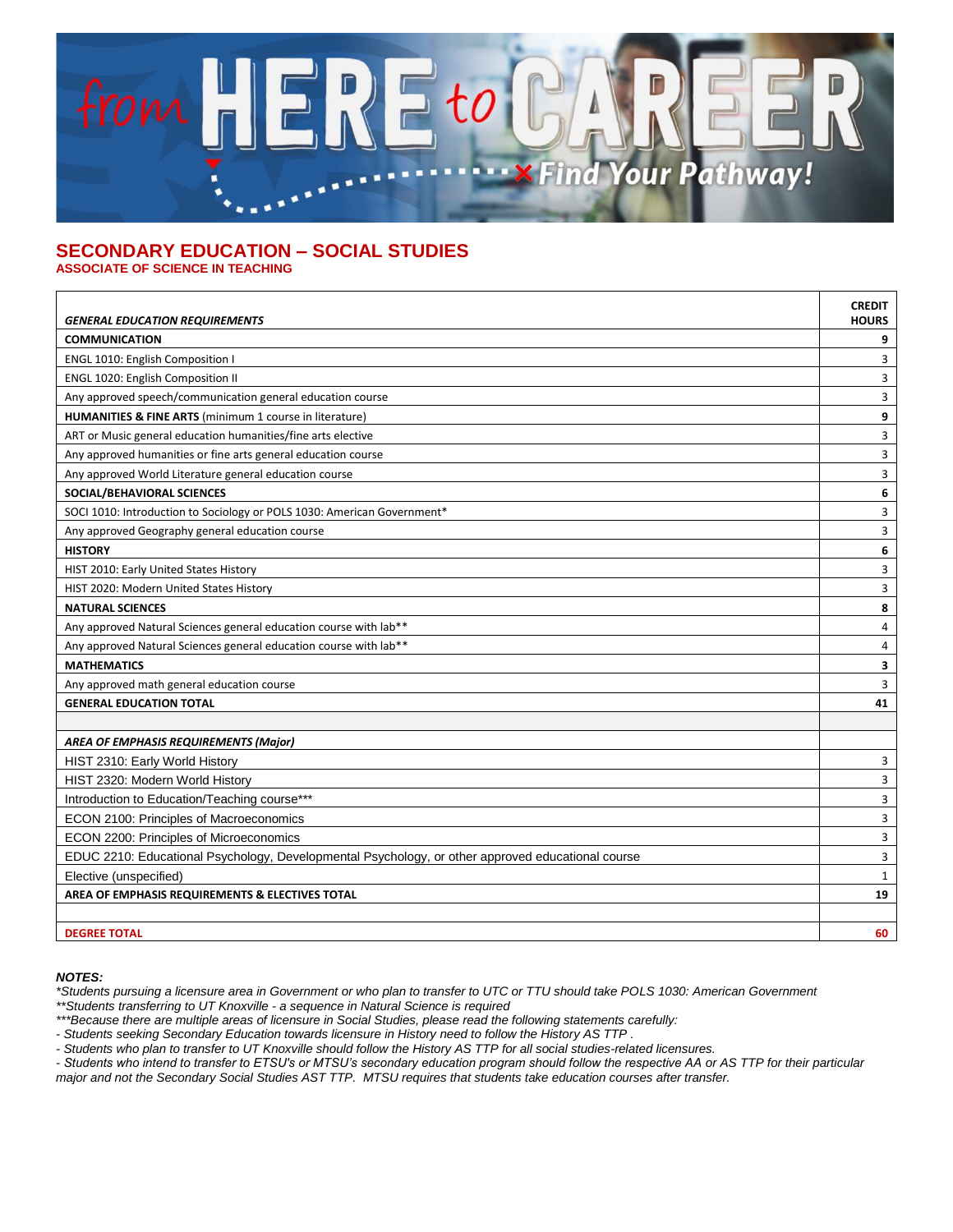

## **SECONDARY EDUCATION – SOCIAL STUDIES ASSOCIATE OF SCIENCE IN TEACHING**

| <b>GENERAL EDUCATION REQUIREMENTS</b>                                                             | <b>CREDIT</b><br><b>HOURS</b> |
|---------------------------------------------------------------------------------------------------|-------------------------------|
| <b>COMMUNICATION</b>                                                                              | 9                             |
| ENGL 1010: English Composition I                                                                  | 3                             |
| ENGL 1020: English Composition II                                                                 | 3                             |
| Any approved speech/communication general education course                                        | 3                             |
| HUMANITIES & FINE ARTS (minimum 1 course in literature)                                           | 9                             |
| ART or Music general education humanities/fine arts elective                                      | 3                             |
| Any approved humanities or fine arts general education course                                     | 3                             |
| Any approved World Literature general education course                                            | 3                             |
| SOCIAL/BEHAVIORAL SCIENCES                                                                        | 6                             |
| SOCI 1010: Introduction to Sociology or POLS 1030: American Government*                           | 3                             |
| Any approved Geography general education course                                                   | 3                             |
| <b>HISTORY</b>                                                                                    | 6                             |
| HIST 2010: Early United States History                                                            | 3                             |
| HIST 2020: Modern United States History                                                           | 3                             |
| <b>NATURAL SCIENCES</b>                                                                           | 8                             |
| Any approved Natural Sciences general education course with lab**                                 | 4                             |
| Any approved Natural Sciences general education course with lab**                                 | 4                             |
| <b>MATHEMATICS</b>                                                                                | 3                             |
| Any approved math general education course                                                        | 3                             |
| <b>GENERAL EDUCATION TOTAL</b>                                                                    | 41                            |
|                                                                                                   |                               |
| AREA OF EMPHASIS REQUIREMENTS (Major)                                                             |                               |
| HIST 2310: Early World History                                                                    | 3                             |
| HIST 2320: Modern World History                                                                   | 3                             |
| Introduction to Education/Teaching course***                                                      | 3                             |
| ECON 2100: Principles of Macroeconomics                                                           | 3                             |
| ECON 2200: Principles of Microeconomics                                                           | 3                             |
| EDUC 2210: Educational Psychology, Developmental Psychology, or other approved educational course | 3                             |
| Elective (unspecified)                                                                            | $\mathbf{1}$                  |
| AREA OF EMPHASIS REQUIREMENTS & ELECTIVES TOTAL                                                   | 19                            |
|                                                                                                   |                               |
| <b>DEGREE TOTAL</b>                                                                               | 60                            |

*NOTES:*

*\*Students pursuing a licensure area in Government or who plan to transfer to UTC or TTU should take POLS 1030: American Government \*\*Students transferring to UT Knoxville - a sequence in Natural Science is required*

*\*\*\*Because there are multiple areas of licensure in Social Studies, please read the following statements carefully:*

*- Students seeking Secondary Education towards licensure in History need to follow the History AS TTP .* 

*- Students who plan to transfer to UT Knoxville should follow the History AS TTP for all social studies-related licensures.* 

*- Students who intend to transfer to ETSU's or MTSU's secondary education program should follow the respective AA or AS TTP for their particular* 

*major and not the Secondary Social Studies AST TTP. MTSU requires that students take education courses after transfer.*